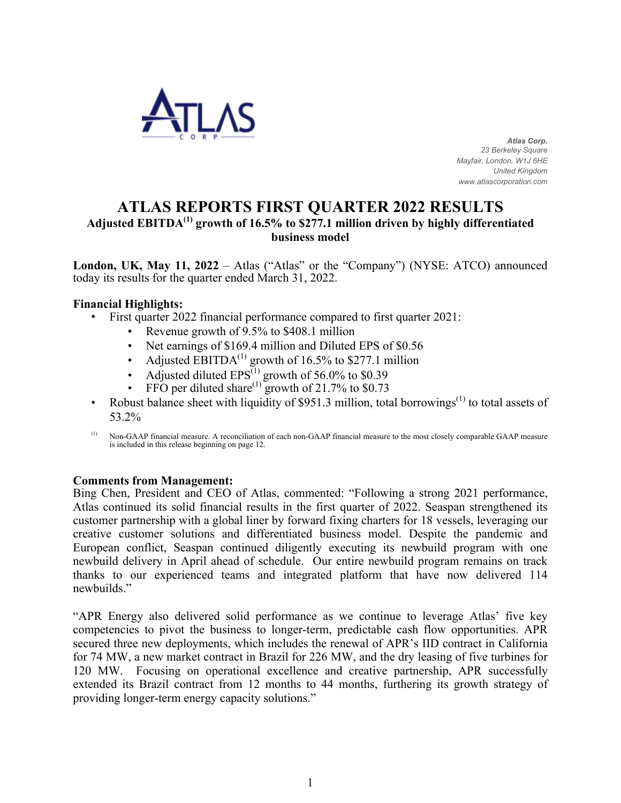

 *Atlas Corp. 23 Berkeley Square Mayfair, London, W1J 6HE United Kingdom www.atlascorporation.com*

# **ATLAS REPORTS FIRST QUARTER 2022 RESULTS**

# **Adjusted EBITDA(1) growth of 16.5% to \$277.1 million driven by highly differentiated business model**

**London, UK, May 11, 2022** – Atlas ("Atlas" or the "Company") (NYSE: ATCO) announced today its results for the quarter ended March 31, 2022.

### **Financial Highlights:**

- First quarter 2022 financial performance compared to first quarter 2021:
	- Revenue growth of 9.5% to \$408.1 million
	- Net earnings of \$169.4 million and Diluted EPS of \$0.56
	- Adjusted EBITDA<sup>(1)</sup> growth of 16.5% to \$277.1 million
	- Adjusted diluted  $EPS^{(1)}$  growth of 56.0% to \$0.39
	- FFO per diluted share<sup>(1)</sup> growth of 21.7% to \$0.73
- Robust balance sheet with liquidity of \$951.3 million, total borrowings<sup>(1)</sup> to total assets of 53.2%
- (1) Non-GAAP financial measure. A reconciliation of each non-GAAP financial measure to the most closely comparable GAAP measure is included in this release beginning on page [12.](#page-11-0)

### **Comments from Management:**

Bing Chen, President and CEO of Atlas, commented: "Following a strong 2021 performance, Atlas continued its solid financial results in the first quarter of 2022. Seaspan strengthened its customer partnership with a global liner by forward fixing charters for 18 vessels, leveraging our creative customer solutions and differentiated business model. Despite the pandemic and European conflict, Seaspan continued diligently executing its newbuild program with one newbuild delivery in April ahead of schedule. Our entire newbuild program remains on track thanks to our experienced teams and integrated platform that have now delivered 114 newbuilds"

"APR Energy also delivered solid performance as we continue to leverage Atlas' five key competencies to pivot the business to longer-term, predictable cash flow opportunities. APR secured three new deployments, which includes the renewal of APR's IID contract in California for 74 MW, a new market contract in Brazil for 226 MW, and the dry leasing of five turbines for 120 MW. Focusing on operational excellence and creative partnership, APR successfully extended its Brazil contract from 12 months to 44 months, furthering its growth strategy of providing longer-term energy capacity solutions."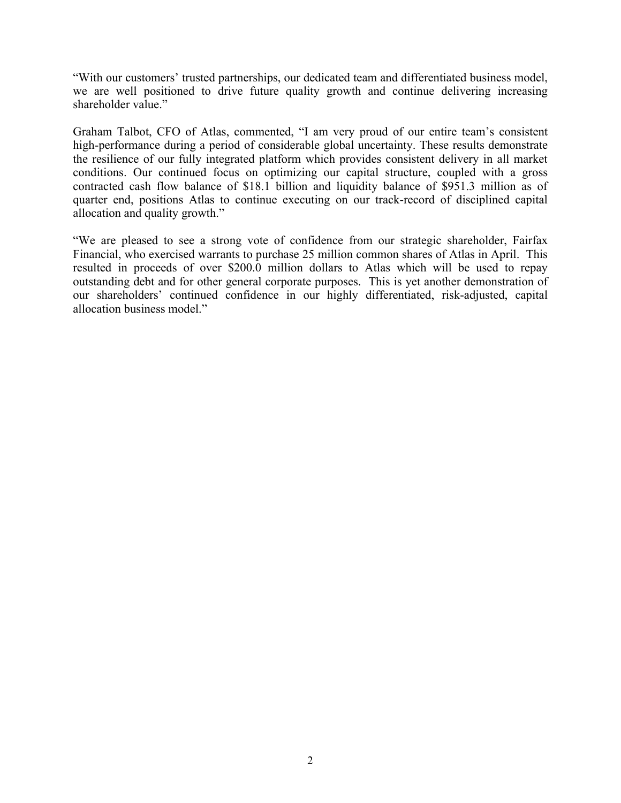"With our customers' trusted partnerships, our dedicated team and differentiated business model, we are well positioned to drive future quality growth and continue delivering increasing shareholder value."

Graham Talbot, CFO of Atlas, commented, "I am very proud of our entire team's consistent high-performance during a period of considerable global uncertainty. These results demonstrate the resilience of our fully integrated platform which provides consistent delivery in all market conditions. Our continued focus on optimizing our capital structure, coupled with a gross contracted cash flow balance of \$18.1 billion and liquidity balance of \$951.3 million as of quarter end, positions Atlas to continue executing on our track-record of disciplined capital allocation and quality growth."

"We are pleased to see a strong vote of confidence from our strategic shareholder, Fairfax Financial, who exercised warrants to purchase 25 million common shares of Atlas in April. This resulted in proceeds of over \$200.0 million dollars to Atlas which will be used to repay outstanding debt and for other general corporate purposes. This is yet another demonstration of our shareholders' continued confidence in our highly differentiated, risk-adjusted, capital allocation business model."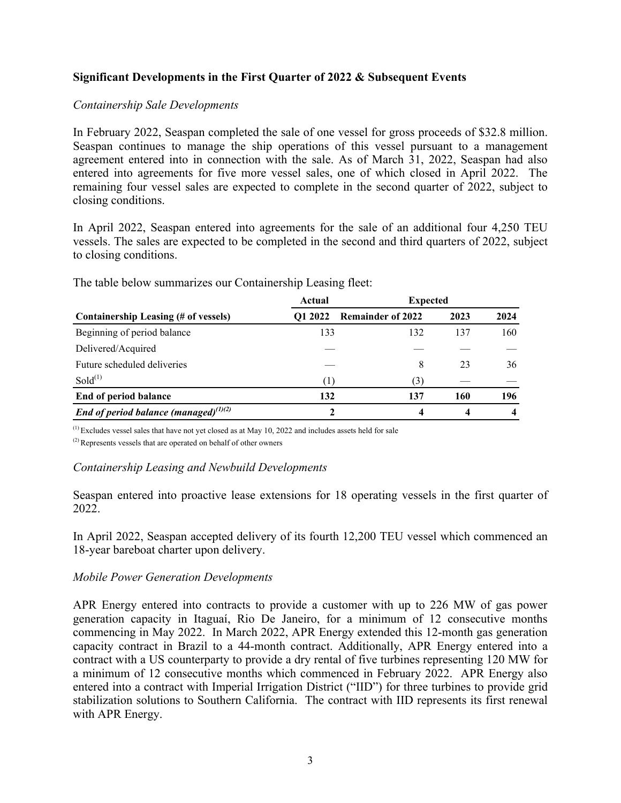# **Significant Developments in the First Quarter of 2022 & Subsequent Events**

### *Containership Sale Developments*

In February 2022, Seaspan completed the sale of one vessel for gross proceeds of \$32.8 million. Seaspan continues to manage the ship operations of this vessel pursuant to a management agreement entered into in connection with the sale. As of March 31, 2022, Seaspan had also entered into agreements for five more vessel sales, one of which closed in April 2022. The remaining four vessel sales are expected to complete in the second quarter of 2022, subject to closing conditions.

In April 2022, Seaspan entered into agreements for the sale of an additional four 4,250 TEU vessels. The sales are expected to be completed in the second and third quarters of 2022, subject to closing conditions.

| Actual         |                          |      |                 |
|----------------|--------------------------|------|-----------------|
| <b>O1 2022</b> | <b>Remainder of 2022</b> | 2023 | 2024            |
| 133            | 132                      | 137  | 160             |
|                |                          |      |                 |
|                | 8                        | 23   | 36              |
| (1)            | (3)                      |      |                 |
| 132            | 137                      | 160  | 196             |
|                |                          |      |                 |
|                |                          |      | <b>Expected</b> |

The table below summarizes our Containership Leasing fleet:

(1) Excludes vessel sales that have not yet closed as at May 10, 2022 and includes assets held for sale

(2) Represents vessels that are operated on behalf of other owners

### *Containership Leasing and Newbuild Developments*

Seaspan entered into proactive lease extensions for 18 operating vessels in the first quarter of 2022.

In April 2022, Seaspan accepted delivery of its fourth 12,200 TEU vessel which commenced an 18-year bareboat charter upon delivery.

### *Mobile Power Generation Developments*

APR Energy entered into contracts to provide a customer with up to 226 MW of gas power generation capacity in Itaguaí, Rio De Janeiro, for a minimum of 12 consecutive months commencing in May 2022. In March 2022, APR Energy extended this 12-month gas generation capacity contract in Brazil to a 44-month contract. Additionally, APR Energy entered into a contract with a US counterparty to provide a dry rental of five turbines representing 120 MW for a minimum of 12 consecutive months which commenced in February 2022. APR Energy also entered into a contract with Imperial Irrigation District ("IID") for three turbines to provide grid stabilization solutions to Southern California. The contract with IID represents its first renewal with APR Energy.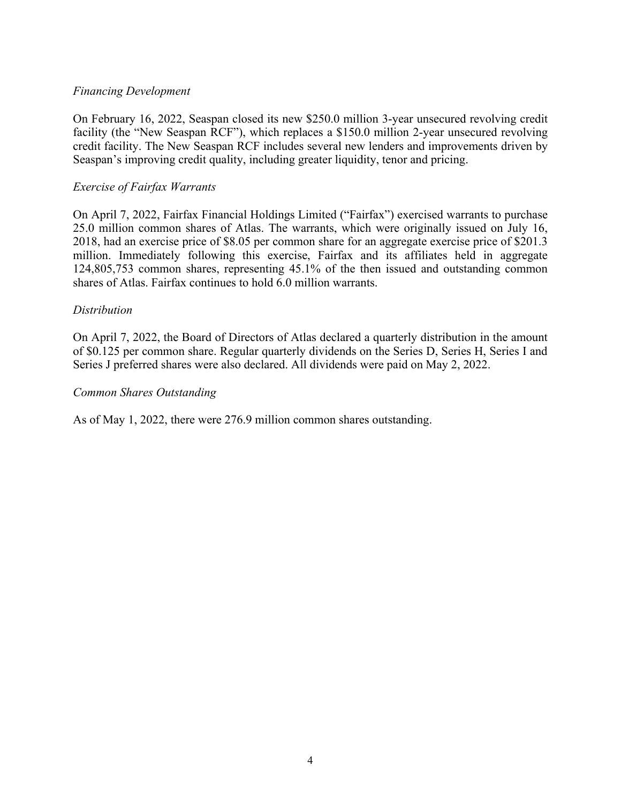### *Financing Development*

On February 16, 2022, Seaspan closed its new \$250.0 million 3-year unsecured revolving credit facility (the "New Seaspan RCF"), which replaces a \$150.0 million 2-year unsecured revolving credit facility. The New Seaspan RCF includes several new lenders and improvements driven by Seaspan's improving credit quality, including greater liquidity, tenor and pricing.

### *Exercise of Fairfax Warrants*

On April 7, 2022, Fairfax Financial Holdings Limited ("Fairfax") exercised warrants to purchase 25.0 million common shares of Atlas. The warrants, which were originally issued on July 16, 2018, had an exercise price of \$8.05 per common share for an aggregate exercise price of \$201.3 million. Immediately following this exercise, Fairfax and its affiliates held in aggregate 124,805,753 common shares, representing 45.1% of the then issued and outstanding common shares of Atlas. Fairfax continues to hold 6.0 million warrants.

### *Distribution*

On April 7, 2022, the Board of Directors of Atlas declared a quarterly distribution in the amount of \$0.125 per common share. Regular quarterly dividends on the Series D, Series H, Series I and Series J preferred shares were also declared. All dividends were paid on May 2, 2022.

### *Common Shares Outstanding*

As of May 1, 2022, there were 276.9 million common shares outstanding.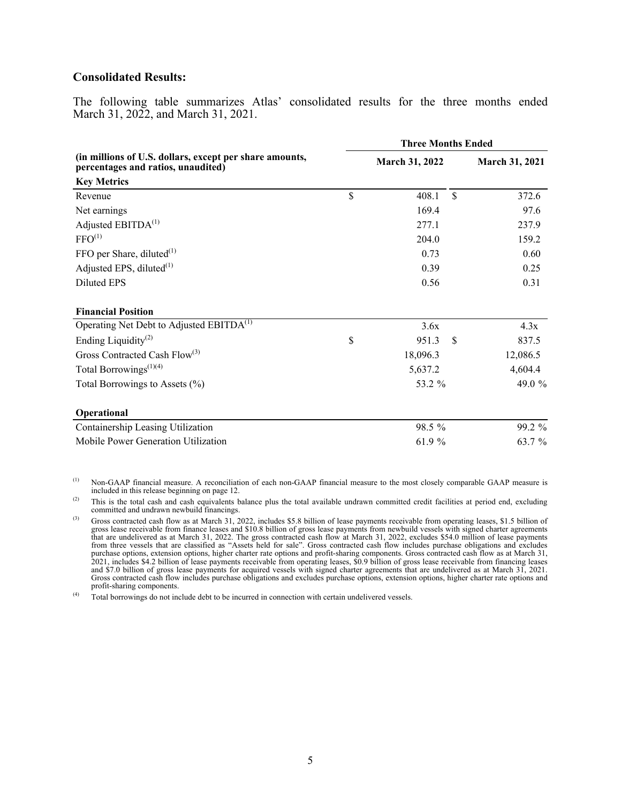#### **Consolidated Results:**

The following table summarizes Atlas' consolidated results for the three months ended March 31, 2022, and March 31, 2021.

|                                                                                               | <b>Three Months Ended</b> |                |               |                |  |  |  |
|-----------------------------------------------------------------------------------------------|---------------------------|----------------|---------------|----------------|--|--|--|
| (in millions of U.S. dollars, except per share amounts,<br>percentages and ratios, unaudited) |                           | March 31, 2022 |               | March 31, 2021 |  |  |  |
| <b>Key Metrics</b>                                                                            |                           |                |               |                |  |  |  |
| Revenue                                                                                       | $\mathsf{\$}$             | 408.1          | $\mathcal{S}$ | 372.6          |  |  |  |
| Net earnings                                                                                  |                           | 169.4          |               | 97.6           |  |  |  |
| Adjusted EBITDA <sup>(1)</sup>                                                                |                           | 277.1          |               | 237.9          |  |  |  |
| FFO <sup>(1)</sup>                                                                            |                           | 204.0          |               | 159.2          |  |  |  |
| FFO per Share, diluted $^{(1)}$                                                               |                           | 0.73           |               | 0.60           |  |  |  |
| Adjusted EPS, diluted <sup>(1)</sup>                                                          |                           | 0.39           |               | 0.25           |  |  |  |
| <b>Diluted EPS</b>                                                                            |                           | 0.56           |               | 0.31           |  |  |  |
| <b>Financial Position</b>                                                                     |                           |                |               |                |  |  |  |
| Operating Net Debt to Adjusted EBITDA <sup>(1)</sup>                                          |                           | 3.6x           |               | 4.3x           |  |  |  |
| Ending Liquidity <sup>(2)</sup>                                                               | \$                        | 951.3          | <sup>\$</sup> | 837.5          |  |  |  |
| Gross Contracted Cash Flow <sup>(3)</sup>                                                     |                           | 18,096.3       |               | 12,086.5       |  |  |  |
| Total Borrowings <sup><math>(1)(4)</math></sup>                                               |                           | 5,637.2        |               | 4,604.4        |  |  |  |
| Total Borrowings to Assets (%)                                                                |                           | 53.2 %         |               | 49.0 %         |  |  |  |
| Operational                                                                                   |                           |                |               |                |  |  |  |
| Containership Leasing Utilization                                                             |                           | 98.5 %         |               | 99.2 %         |  |  |  |
| Mobile Power Generation Utilization                                                           |                           | 61.9 %         |               | 63.7 %         |  |  |  |

(1) Non-GAAP financial measure. A reconciliation of each non-GAAP financial measure to the most closely comparable GAAP measure is included in this release beginning on page [12.](#page-11-0)

<sup>(2)</sup> This is the total cash and cash equivalents balance plus the total available undrawn committed credit facilities at period end, excluding committed and undrawn newbuild financings.

<sup>(3)</sup> Gross contracted cash flow as at March 31, 2022, includes \$5.8 billion of lease payments receivable from operating leases, \$1.5 billion of gross lease receivable from finance leases and \$10.8 billion of gross lease payments from newbuild vessels with signed charter agreements that are undelivered as at March 31, 2022. The gross contracted cash flow at March 31, 2022, excludes \$54.0 million of lease payments<br>from three vessels that are classified as "Assets held for sale". Gross contracted cash purchase options, extension options, higher charter rate options and profit-sharing components. Gross contracted cash flow as at March 31, 2021, includes \$4.2 billion of lease payments receivable from operating leases, \$0.9 billion of gross lease receivable from financing leases and \$7.0 billion of gross lease payments for acquired vessels with signed charter agreements that are undelivered as at March 31, 2021. Gross contracted cash flow includes purchase obligations and excludes purchase options, extension options, higher charter rate options and profit-sharing components.

<sup>(4)</sup> Total borrowings do not include debt to be incurred in connection with certain undelivered vessels.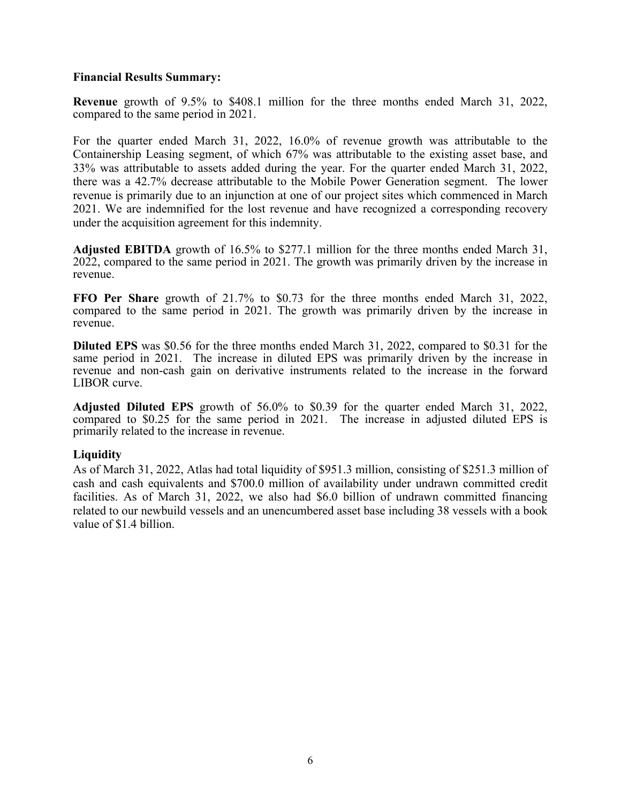### **Financial Results Summary:**

**Revenue** growth of 9.5% to \$408.1 million for the three months ended March 31, 2022, compared to the same period in 2021.

For the quarter ended March 31, 2022, 16.0% of revenue growth was attributable to the Containership Leasing segment, of which 67% was attributable to the existing asset base, and 33% was attributable to assets added during the year. For the quarter ended March 31, 2022, there was a 42.7% decrease attributable to the Mobile Power Generation segment. The lower revenue is primarily due to an injunction at one of our project sites which commenced in March 2021. We are indemnified for the lost revenue and have recognized a corresponding recovery under the acquisition agreement for this indemnity.

**Adjusted EBITDA** growth of 16.5% to \$277.1 million for the three months ended March 31, 2022, compared to the same period in 2021. The growth was primarily driven by the increase in revenue.

**FFO Per Share** growth of 21.7% to \$0.73 for the three months ended March 31, 2022, compared to the same period in 2021. The growth was primarily driven by the increase in revenue.

**Diluted EPS** was \$0.56 for the three months ended March 31, 2022, compared to \$0.31 for the same period in 2021. The increase in diluted EPS was primarily driven by the increase in revenue and non-cash gain on derivative instruments related to the increase in the forward LIBOR curve.

**Adjusted Diluted EPS** growth of 56.0% to \$0.39 for the quarter ended March 31, 2022, compared to \$0.25 for the same period in 2021. The increase in adjusted diluted EPS is primarily related to the increase in revenue.

### **Liquidity**

As of March 31, 2022, Atlas had total liquidity of \$951.3 million, consisting of \$251.3 million of cash and cash equivalents and \$700.0 million of availability under undrawn committed credit facilities. As of March 31, 2022, we also had \$6.0 billion of undrawn committed financing related to our newbuild vessels and an unencumbered asset base including 38 vessels with a book value of \$1.4 billion.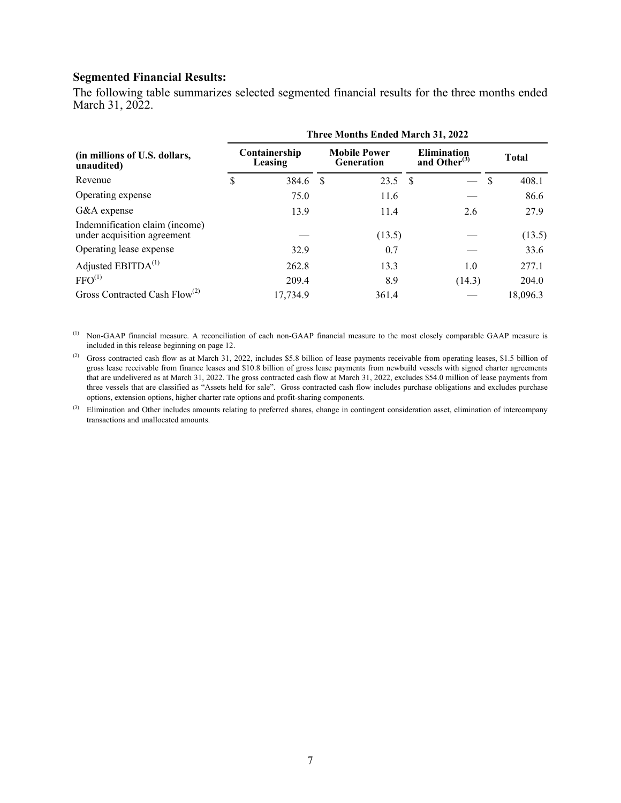### **Segmented Financial Results:**

The following table summarizes selected segmented financial results for the three months ended March 31, 2022.

|                                                               | <b>Three Months Ended March 31, 2022</b> |          |                                          |        |                                       |        |          |              |  |  |
|---------------------------------------------------------------|------------------------------------------|----------|------------------------------------------|--------|---------------------------------------|--------|----------|--------------|--|--|
| (in millions of U.S. dollars,<br>unaudited)                   | Containership<br>Leasing                 |          | <b>Mobile Power</b><br><b>Generation</b> |        | <b>Elimination</b><br>and Other $(3)$ |        |          | <b>Total</b> |  |  |
| Revenue                                                       | \$                                       | 384.6    | -S                                       | 23.5   | - \$                                  |        | <b>S</b> | 408.1        |  |  |
| Operating expense                                             |                                          | 75.0     |                                          | 11.6   |                                       |        |          | 86.6         |  |  |
| G&A expense                                                   |                                          | 13.9     |                                          | 11.4   |                                       | 2.6    |          | 27.9         |  |  |
| Indemnification claim (income)<br>under acquisition agreement |                                          |          |                                          | (13.5) |                                       |        |          | (13.5)       |  |  |
| Operating lease expense                                       |                                          | 32.9     |                                          | 0.7    |                                       |        |          | 33.6         |  |  |
| Adjusted EBITDA <sup>(1)</sup>                                |                                          | 262.8    |                                          | 13.3   |                                       | 1.0    |          | 277.1        |  |  |
| FFO <sup>(1)</sup>                                            |                                          | 209.4    |                                          | 8.9    |                                       | (14.3) |          | 204.0        |  |  |
| Gross Contracted Cash Flow <sup>(2)</sup>                     |                                          | 17,734.9 |                                          | 361.4  |                                       |        |          | 18,096.3     |  |  |

(1) Non-GAAP financial measure. A reconciliation of each non-GAAP financial measure to the most closely comparable GAAP measure is included in this release beginning on page [12](#page-11-0).

<sup>(2)</sup> Gross contracted cash flow as at March 31, 2022, includes \$5.8 billion of lease payments receivable from operating leases, \$1.5 billion of gross lease receivable from finance leases and \$10.8 billion of gross lease payments from newbuild vessels with signed charter agreements that are undelivered as at March 31, 2022. The gross contracted cash flow at March 31, 2022, excludes \$54.0 million of lease payments from three vessels that are classified as "Assets held for sale". Gross contracted cash flow includes purchase obligations and excludes purchase options, extension options, higher charter rate options and profit-sharing components.

(3) Elimination and Other includes amounts relating to preferred shares, change in contingent consideration asset, elimination of intercompany transactions and unallocated amounts.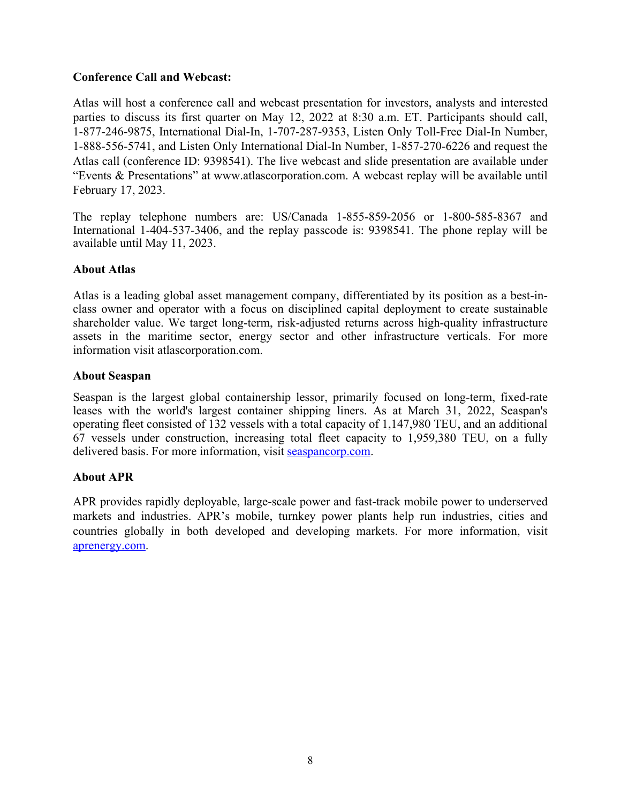# **Conference Call and Webcast:**

Atlas will host a conference call and webcast presentation for investors, analysts and interested parties to discuss its first quarter on May 12, 2022 at 8:30 a.m. ET. Participants should call, 1-877-246-9875, International Dial-In, 1-707-287-9353, Listen Only Toll-Free Dial-In Number, 1-888-556-5741, and Listen Only International Dial-In Number, 1-857-270-6226 and request the Atlas call (conference ID: 9398541). The live webcast and slide presentation are available under "Events & Presentations" at [www.atlascorporation.com.](http://www.atlascorporation.com/) A webcast replay will be available until February 17, 2023.

The replay telephone numbers are: US/Canada 1-855-859-2056 or 1-800-585-8367 and International 1-404-537-3406, and the replay passcode is: 9398541. The phone replay will be available until May 11, 2023.

# **About Atlas**

Atlas is a leading global asset management company, differentiated by its position as a best-inclass owner and operator with a focus on disciplined capital deployment to create sustainable shareholder value. We target long-term, risk-adjusted returns across high-quality infrastructure assets in the maritime sector, energy sector and other infrastructure verticals. For more information visit atlascorporation.com.

### **About Seaspan**

Seaspan is the largest global containership lessor, primarily focused on long-term, fixed-rate leases with the world's largest container shipping liners. As at March 31, 2022, Seaspan's operating fleet consisted of 132 vessels with a total capacity of 1,147,980 TEU, and an additional 67 vessels under construction, increasing total fleet capacity to 1,959,380 TEU, on a fully delivered basis. For more information, visit<seaspancorp.com>.

# **About APR**

APR provides rapidly deployable, large-scale power and fast-track mobile power to underserved markets and industries. APR's mobile, turnkey power plants help run industries, cities and countries globally in both developed and developing markets. For more information, visit [aprenergy.com.](http://www.aprenergy.com)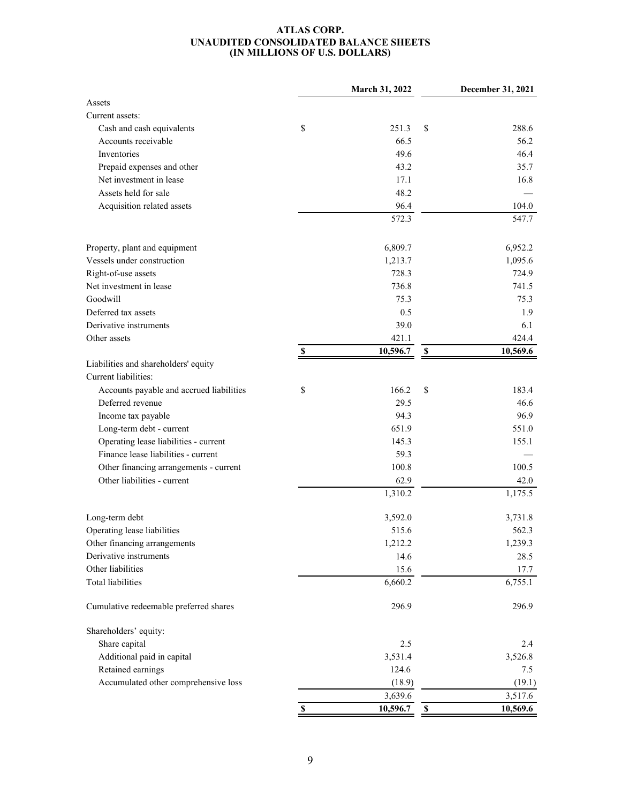#### **ATLAS CORP. UNAUDITED CONSOLIDATED BALANCE SHEETS (IN MILLIONS OF U.S. DOLLARS)**

|                                          |             | March 31, 2022 |                           | December 31, 2021 |
|------------------------------------------|-------------|----------------|---------------------------|-------------------|
| Assets                                   |             |                |                           |                   |
| Current assets:                          |             |                |                           |                   |
| Cash and cash equivalents                | \$          | 251.3          | \$                        | 288.6             |
| Accounts receivable                      |             | 66.5           |                           | 56.2              |
| Inventories                              |             | 49.6           |                           | 46.4              |
| Prepaid expenses and other               |             | 43.2           |                           | 35.7              |
| Net investment in lease                  |             | 17.1           |                           | 16.8              |
| Assets held for sale                     |             | 48.2           |                           |                   |
| Acquisition related assets               |             | 96.4           |                           | 104.0             |
|                                          |             | 572.3          |                           | 547.7             |
| Property, plant and equipment            |             | 6,809.7        |                           | 6,952.2           |
| Vessels under construction               |             | 1,213.7        |                           | 1,095.6           |
| Right-of-use assets                      |             | 728.3          |                           | 724.9             |
| Net investment in lease                  |             | 736.8          |                           | 741.5             |
| Goodwill                                 |             | 75.3           |                           | 75.3              |
| Deferred tax assets                      |             | 0.5            |                           | 1.9               |
| Derivative instruments                   |             | 39.0           |                           | 6.1               |
| Other assets                             |             | 421.1          |                           | 424.4             |
|                                          | $\mathbb S$ | 10,596.7       | $\boldsymbol{\mathsf{S}}$ | 10,569.6          |
| Liabilities and shareholders' equity     |             |                |                           |                   |
| Current liabilities:                     |             |                |                           |                   |
| Accounts payable and accrued liabilities | \$          | 166.2          | \$                        | 183.4             |
| Deferred revenue                         |             | 29.5           |                           | 46.6              |
| Income tax payable                       |             | 94.3           |                           | 96.9              |
| Long-term debt - current                 |             | 651.9          |                           | 551.0             |
| Operating lease liabilities - current    |             | 145.3          |                           | 155.1             |
| Finance lease liabilities - current      |             | 59.3           |                           |                   |
| Other financing arrangements - current   |             | 100.8          |                           | 100.5             |
| Other liabilities - current              |             | 62.9           |                           | 42.0              |
|                                          |             | 1,310.2        |                           | 1,175.5           |
| Long-term debt                           |             | 3,592.0        |                           | 3,731.8           |
| Operating lease liabilities              |             | 515.6          |                           | 562.3             |
| Other financing arrangements             |             | 1,212.2        |                           | 1,239.3           |
| Derivative instruments                   |             | 14.6           |                           | 28.5              |
| Other liabilities                        |             | 15.6           |                           | 17.7              |
| Total liabilities                        |             | 6,660.2        |                           | 6,755.1           |
| Cumulative redeemable preferred shares   |             | 296.9          |                           | 296.9             |
| Shareholders' equity:                    |             |                |                           |                   |
| Share capital                            |             | 2.5            |                           | 2.4               |
| Additional paid in capital               |             | 3,531.4        |                           | 3,526.8           |
| Retained earnings                        |             | 124.6          |                           | 7.5               |
| Accumulated other comprehensive loss     |             | (18.9)         |                           | (19.1)            |
|                                          |             | 3,639.6        |                           | 3,517.6           |
|                                          | \$          | 10,596.7       | $\mathbb S$               | 10,569.6          |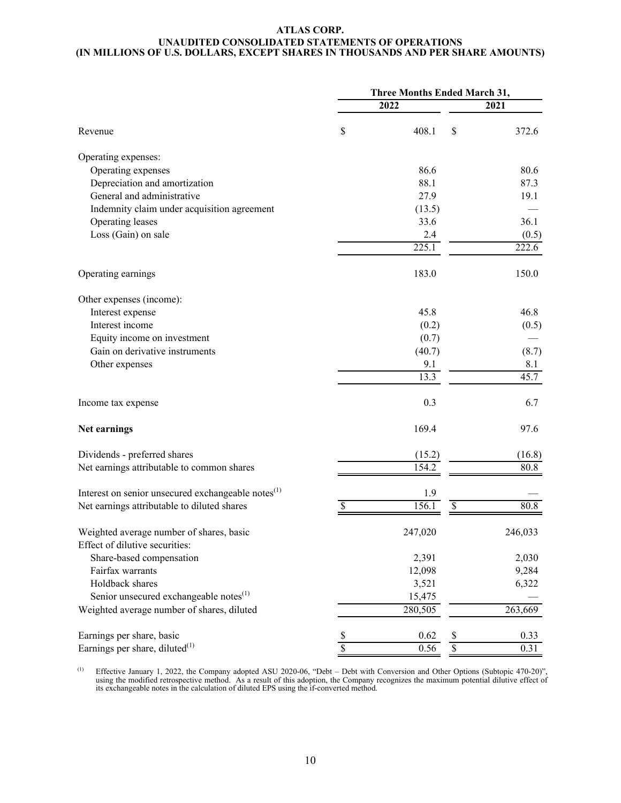#### **ATLAS CORP. UNAUDITED CONSOLIDATED STATEMENTS OF OPERATIONS (IN MILLIONS OF U.S. DOLLARS, EXCEPT SHARES IN THOUSANDS AND PER SHARE AMOUNTS)**

|                                                                | Three Months Ended March 31, |         |                          |         |  |
|----------------------------------------------------------------|------------------------------|---------|--------------------------|---------|--|
|                                                                |                              | 2022    | 2021                     |         |  |
| Revenue                                                        | \$                           | 408.1   | \$                       | 372.6   |  |
| Operating expenses:                                            |                              |         |                          |         |  |
| Operating expenses                                             |                              | 86.6    |                          | 80.6    |  |
| Depreciation and amortization                                  |                              | 88.1    |                          | 87.3    |  |
| General and administrative                                     |                              | 27.9    |                          | 19.1    |  |
| Indemnity claim under acquisition agreement                    |                              | (13.5)  |                          |         |  |
| Operating leases                                               |                              | 33.6    |                          | 36.1    |  |
| Loss (Gain) on sale                                            |                              | 2.4     |                          | (0.5)   |  |
|                                                                |                              | 225.1   |                          | 222.6   |  |
| Operating earnings                                             |                              | 183.0   |                          | 150.0   |  |
| Other expenses (income):                                       |                              |         |                          |         |  |
| Interest expense                                               |                              | 45.8    |                          | 46.8    |  |
| Interest income                                                |                              | (0.2)   |                          | (0.5)   |  |
| Equity income on investment                                    |                              | (0.7)   |                          |         |  |
| Gain on derivative instruments                                 |                              | (40.7)  |                          | (8.7)   |  |
| Other expenses                                                 |                              | 9.1     |                          | 8.1     |  |
|                                                                |                              | 13.3    |                          | 45.7    |  |
| Income tax expense                                             |                              | 0.3     |                          | 6.7     |  |
| Net earnings                                                   |                              | 169.4   |                          | 97.6    |  |
| Dividends - preferred shares                                   |                              | (15.2)  |                          | (16.8)  |  |
| Net earnings attributable to common shares                     |                              | 154.2   |                          | 80.8    |  |
| Interest on senior unsecured exchangeable notes <sup>(1)</sup> |                              | 1.9     |                          |         |  |
| Net earnings attributable to diluted shares                    | $\boldsymbol{\mathsf{S}}$    | 156.1   | $\overline{\mathcal{S}}$ | 80.8    |  |
| Weighted average number of shares, basic                       |                              | 247,020 |                          | 246,033 |  |
| Effect of dilutive securities:                                 |                              |         |                          |         |  |
| Share-based compensation                                       |                              | 2,391   |                          | 2,030   |  |
| Fairfax warrants                                               |                              | 12,098  |                          | 9,284   |  |
| Holdback shares                                                |                              | 3,521   |                          | 6,322   |  |
| Senior unsecured exchangeable notes <sup>(1)</sup>             |                              | 15,475  |                          |         |  |
| Weighted average number of shares, diluted                     |                              | 280,505 |                          | 263,669 |  |
| Earnings per share, basic                                      | \$                           | 0.62    | \$                       | 0.33    |  |
| Earnings per share, diluted $(1)$                              | $\overline{\$}$              | 0.56    | $\overline{\$}$          | 0.31    |  |

(1) Effective January 1, 2022, the Company adopted ASU 2020-06, "Debt – Debt with Conversion and Other Options (Subtopic 470-20)", using the modified retrospective method. As a result of this adoption, the Company recognizes the maximum potential dilutive effect of its exchangeable notes in the calculation of diluted EPS using the if-converted method.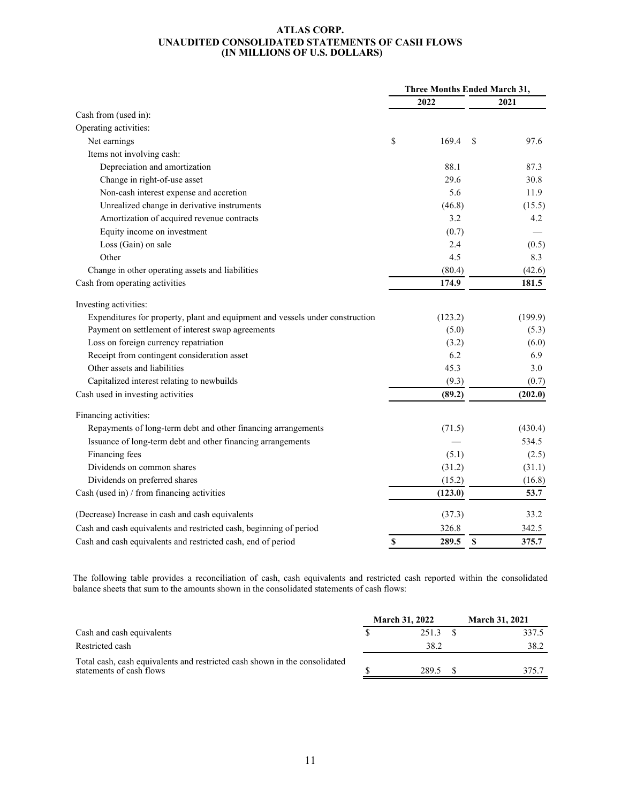#### **ATLAS CORP. UNAUDITED CONSOLIDATED STATEMENTS OF CASH FLOWS (IN MILLIONS OF U.S. DOLLARS)**

|                                                                               | <b>Three Months Ended March 31,</b> |         |             |         |
|-------------------------------------------------------------------------------|-------------------------------------|---------|-------------|---------|
|                                                                               |                                     | 2022    |             | 2021    |
| Cash from (used in):                                                          |                                     |         |             |         |
| Operating activities:                                                         |                                     |         |             |         |
| Net earnings                                                                  | \$                                  | 169.4   | \$          | 97.6    |
| Items not involving cash:                                                     |                                     |         |             |         |
| Depreciation and amortization                                                 |                                     | 88.1    |             | 87.3    |
| Change in right-of-use asset                                                  |                                     | 29.6    |             | 30.8    |
| Non-cash interest expense and accretion                                       |                                     | 5.6     |             | 11.9    |
| Unrealized change in derivative instruments                                   |                                     | (46.8)  |             | (15.5)  |
| Amortization of acquired revenue contracts                                    |                                     | 3.2     |             | 4.2     |
| Equity income on investment                                                   |                                     | (0.7)   |             |         |
| Loss (Gain) on sale                                                           |                                     | 2.4     |             | (0.5)   |
| Other                                                                         |                                     | 4.5     |             | 8.3     |
| Change in other operating assets and liabilities                              |                                     | (80.4)  |             | (42.6)  |
| Cash from operating activities                                                |                                     | 174.9   |             | 181.5   |
| Investing activities:                                                         |                                     |         |             |         |
| Expenditures for property, plant and equipment and vessels under construction |                                     | (123.2) |             | (199.9) |
| Payment on settlement of interest swap agreements                             |                                     | (5.0)   |             | (5.3)   |
| Loss on foreign currency repatriation                                         |                                     | (3.2)   |             | (6.0)   |
| Receipt from contingent consideration asset                                   |                                     | 6.2     |             | 6.9     |
| Other assets and liabilities                                                  |                                     | 45.3    |             | 3.0     |
| Capitalized interest relating to newbuilds                                    |                                     | (9.3)   |             | (0.7)   |
| Cash used in investing activities                                             |                                     | (89.2)  |             | (202.0) |
| Financing activities:                                                         |                                     |         |             |         |
| Repayments of long-term debt and other financing arrangements                 |                                     | (71.5)  |             | (430.4) |
| Issuance of long-term debt and other financing arrangements                   |                                     |         |             | 534.5   |
| Financing fees                                                                |                                     | (5.1)   |             | (2.5)   |
| Dividends on common shares                                                    |                                     | (31.2)  |             | (31.1)  |
| Dividends on preferred shares                                                 |                                     | (15.2)  |             | (16.8)  |
| Cash (used in) / from financing activities                                    |                                     | (123.0) |             | 53.7    |
| (Decrease) Increase in cash and cash equivalents                              |                                     | (37.3)  |             | 33.2    |
| Cash and cash equivalents and restricted cash, beginning of period            |                                     | 326.8   |             | 342.5   |
| Cash and cash equivalents and restricted cash, end of period                  | S                                   | 289.5   | $\mathbf S$ | 375.7   |

The following table provides a reconciliation of cash, cash equivalents and restricted cash reported within the consolidated balance sheets that sum to the amounts shown in the consolidated statements of cash flows:

|                                                                                                        |  | <b>March 31, 2022</b> | <b>March 31, 2021</b> |       |  |
|--------------------------------------------------------------------------------------------------------|--|-----------------------|-----------------------|-------|--|
| Cash and cash equivalents                                                                              |  | 2513                  |                       | 337.5 |  |
| Restricted cash                                                                                        |  | 38.2                  |                       | 38.2  |  |
| Total cash, cash equivalents and restricted cash shown in the consolidated<br>statements of cash flows |  | 289.5                 |                       | 375 7 |  |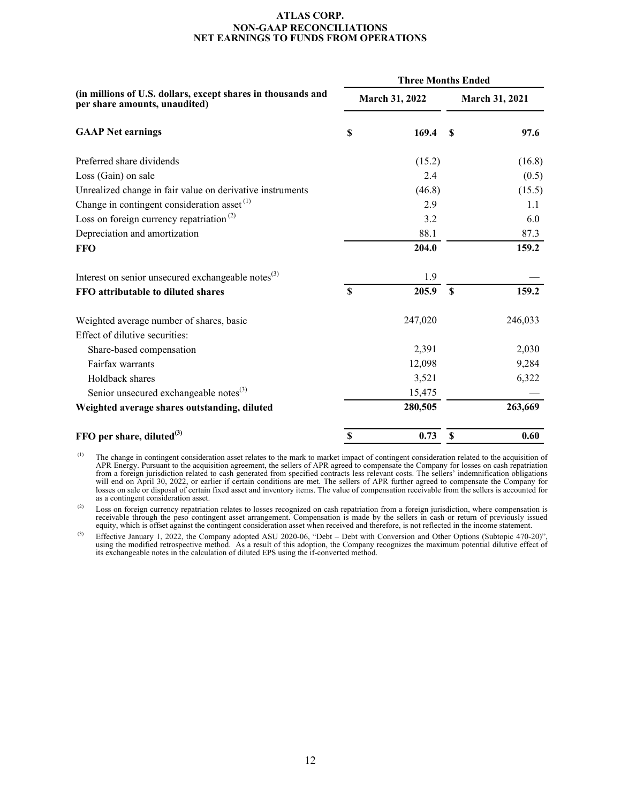#### **ATLAS CORP. NON-GAAP RECONCILIATIONS NET EARNINGS TO FUNDS FROM OPERATIONS**

<span id="page-11-0"></span>

|                                                                                               | <b>Three Months Ended</b> |                |                       |         |  |  |  |
|-----------------------------------------------------------------------------------------------|---------------------------|----------------|-----------------------|---------|--|--|--|
| (in millions of U.S. dollars, except shares in thousands and<br>per share amounts, unaudited) |                           | March 31, 2022 | <b>March 31, 2021</b> |         |  |  |  |
| <b>GAAP Net earnings</b>                                                                      | \$                        | 169.4          | S                     | 97.6    |  |  |  |
| Preferred share dividends                                                                     |                           | (15.2)         |                       | (16.8)  |  |  |  |
| Loss (Gain) on sale                                                                           |                           | 2.4            |                       | (0.5)   |  |  |  |
| Unrealized change in fair value on derivative instruments                                     |                           | (46.8)         |                       | (15.5)  |  |  |  |
| Change in contingent consideration asset $(1)$                                                |                           | 2.9            |                       | 1.1     |  |  |  |
| Loss on foreign currency repatriation <sup>(2)</sup>                                          |                           | 3.2            |                       | 6.0     |  |  |  |
| Depreciation and amortization                                                                 |                           | 88.1           |                       | 87.3    |  |  |  |
| <b>FFO</b>                                                                                    |                           | 204.0          |                       | 159.2   |  |  |  |
| Interest on senior unsecured exchangeable notes <sup>(3)</sup>                                |                           | 1.9            |                       |         |  |  |  |
| FFO attributable to diluted shares                                                            | $\mathbf S$               | 205.9          | <sup>\$</sup>         | 159.2   |  |  |  |
| Weighted average number of shares, basic                                                      |                           | 247,020        |                       | 246,033 |  |  |  |
| Effect of dilutive securities:                                                                |                           |                |                       |         |  |  |  |
| Share-based compensation                                                                      |                           | 2,391          |                       | 2,030   |  |  |  |
| Fairfax warrants                                                                              |                           | 12,098         |                       | 9,284   |  |  |  |
| Holdback shares                                                                               |                           | 3,521          |                       | 6,322   |  |  |  |
| Senior unsecured exchangeable notes <sup>(3)</sup>                                            |                           | 15,475         |                       |         |  |  |  |
| Weighted average shares outstanding, diluted                                                  |                           | 280,505        |                       | 263,669 |  |  |  |
| FFO per share, diluted $^{(3)}$                                                               | $\boldsymbol{\mathsf{S}}$ | 0.73           | $\mathbf S$           | 0.60    |  |  |  |

(1) The change in contingent consideration asset relates to the mark to market impact of contingent consideration related to the acquisition of APR Energy. Pursuant to the acquisition agreement, the sellers of APR agreed to compensate the Company for losses on cash repatriation from a foreign jurisdiction related to cash generated from specified contracts less relevant costs. The sellers' indemnification obligations will end on April 30, 2022, or earlier if certain conditions are met. The sellers of APR further agreed to compensate the Company for losses on sale or disposal of certain fixed asset and inventory items. The value of compensation receivable from the sellers is accounted for as a contingent consideration asset.

<sup>(2)</sup> Loss on foreign currency repatriation relates to losses recognized on cash repatriation from a foreign jurisdiction, where compensation is receivable through the peso contingent asset arrangement. Compensation is mad equity, which is offset against the contingent consideration asset when received and therefore, is not reflected in the income statement.

(3) Effective January 1, 2022, the Company adopted ASU 2020-06, "Debt – Debt with Conversion and Other Options (Subtopic 470-20)", using the modified retrospective method. As a result of this adoption, the Company recognizes the maximum potential dilutive effect of its exchangeable notes in the calculation of diluted EPS using the if-converted method.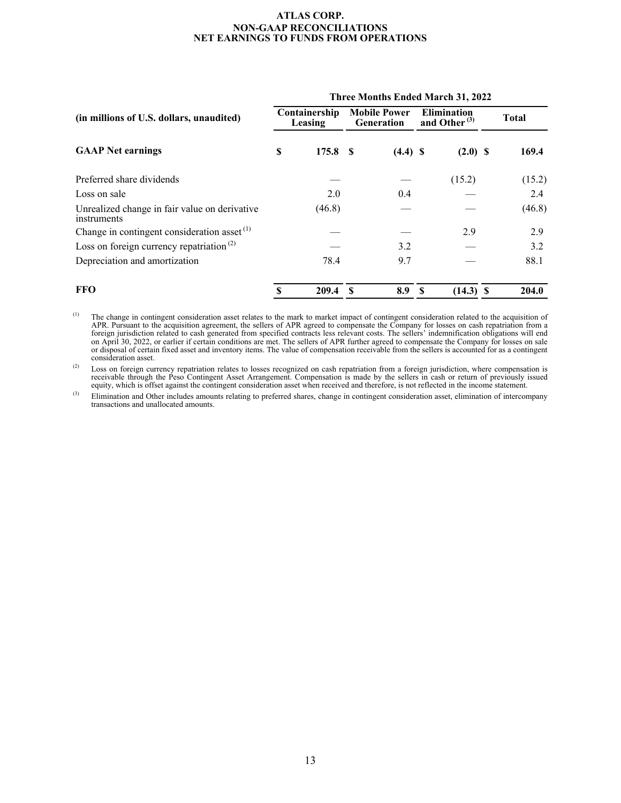#### **ATLAS CORP. NON-GAAP RECONCILIATIONS NET EARNINGS TO FUNDS FROM OPERATIONS**

|                                                              | <b>Three Months Ended March 31, 2022</b> |                          |     |                                          |    |                                          |  |              |  |
|--------------------------------------------------------------|------------------------------------------|--------------------------|-----|------------------------------------------|----|------------------------------------------|--|--------------|--|
| (in millions of U.S. dollars, unaudited)                     |                                          | Containership<br>Leasing |     | <b>Mobile Power</b><br><b>Generation</b> |    | <b>Elimination</b><br>and Other $^{(3)}$ |  | <b>Total</b> |  |
| <b>GAAP Net earnings</b>                                     | S                                        | 175.8                    | - S | $(4.4)$ \$                               |    | $(2.0)$ \$                               |  | 169.4        |  |
| Preferred share dividends                                    |                                          |                          |     |                                          |    | (15.2)                                   |  | (15.2)       |  |
| Loss on sale                                                 |                                          | 2.0                      |     | 0.4                                      |    |                                          |  | 2.4          |  |
| Unrealized change in fair value on derivative<br>instruments |                                          | (46.8)                   |     |                                          |    |                                          |  | (46.8)       |  |
| Change in contingent consideration asset $(1)$               |                                          |                          |     |                                          |    | 2.9                                      |  | 2.9          |  |
| Loss on foreign currency repatriation <sup>(2)</sup>         |                                          |                          |     | 3.2                                      |    |                                          |  | 3.2          |  |
| Depreciation and amortization                                |                                          | 78.4                     |     | 9.7                                      |    |                                          |  | 88.1         |  |
| <b>FFO</b>                                                   | S                                        | 209.4                    | S   | 8.9                                      | -S | $(14.3)$ \$                              |  | 204.0        |  |

 $<sup>(1)</sup>$  The change in contingent consideration asset relates to the mark to market impact of contingent consideration related to the acquisition of</sup> APR. Pursuant to the acquisition agreement, the sellers of APR agreed to compensate the Company for losses on cash repatriation from a foreign jurisdiction related to cash generated from specified contracts less relevant costs. The sellers' indemnification obligations will end on April 30, 2022, or earlier if certain conditions are met. The sellers of APR further agreed to compensate the Company for losses on sale or disposal of certain fixed asset and inventory items. The value of compensation receivable from the sellers is accounted for as a contingent consideration asset.

 $^{(2)}$  Loss on foreign currency repatriation relates to losses recognized on cash repatriation from a foreign jurisdiction, where compensation is receivable through the Peso Contingent Asset Arrangement. Compensation is made by the sellers in cash or return of previously issued equity, which is offset against the contingent consideration asset when received and therefore, is not reflected in the income statement.

<sup>(3)</sup> Elimination and Other includes amounts relating to preferred shares, change in contingent consideration asset, elimination of intercompany transactions and unallocated amounts.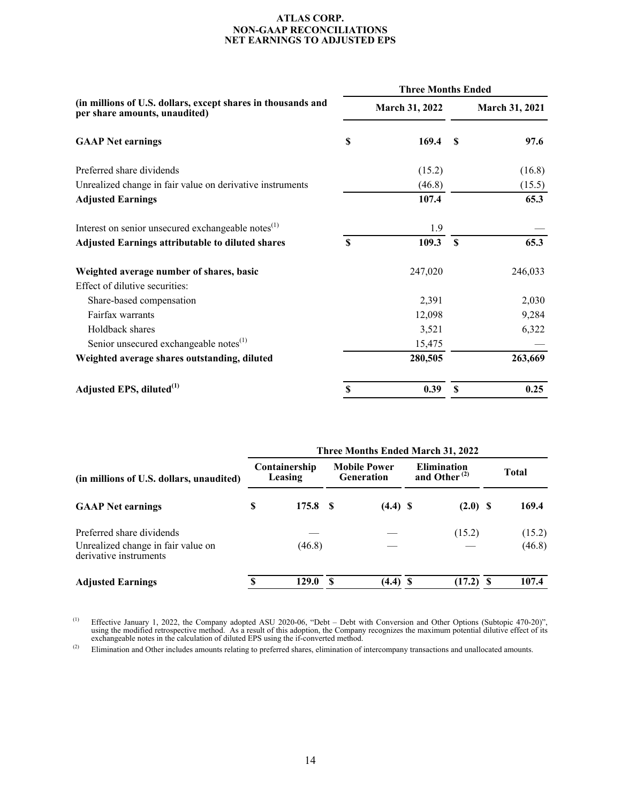#### **ATLAS CORP. NON-GAAP RECONCILIATIONS NET EARNINGS TO ADJUSTED EPS**

|                                                                                               | <b>Three Months Ended</b> |                |                    |                       |  |  |
|-----------------------------------------------------------------------------------------------|---------------------------|----------------|--------------------|-----------------------|--|--|
| (in millions of U.S. dollars, except shares in thousands and<br>per share amounts, unaudited) |                           | March 31, 2022 |                    | <b>March 31, 2021</b> |  |  |
| <b>GAAP Net earnings</b>                                                                      | \$                        | 169.4          | <b>S</b>           | 97.6                  |  |  |
| Preferred share dividends                                                                     |                           | (15.2)         |                    | (16.8)                |  |  |
| Unrealized change in fair value on derivative instruments                                     |                           | (46.8)         |                    | (15.5)                |  |  |
| <b>Adjusted Earnings</b>                                                                      |                           | 107.4          |                    | 65.3                  |  |  |
| Interest on senior unsecured exchangeable notes <sup>(1)</sup>                                |                           | 1.9            |                    |                       |  |  |
| <b>Adjusted Earnings attributable to diluted shares</b>                                       | $\mathbf S$               | 109.3          | $\mathbf{\hat{s}}$ | 65.3                  |  |  |
| Weighted average number of shares, basic                                                      |                           | 247,020        |                    | 246,033               |  |  |
| Effect of dilutive securities:                                                                |                           |                |                    |                       |  |  |
| Share-based compensation                                                                      |                           | 2,391          |                    | 2,030                 |  |  |
| Fairfax warrants                                                                              |                           | 12,098         |                    | 9,284                 |  |  |
| Holdback shares                                                                               |                           | 3,521          |                    | 6,322                 |  |  |
| Senior unsecured exchangeable notes <sup>(1)</sup>                                            |                           | 15,475         |                    |                       |  |  |
| Weighted average shares outstanding, diluted                                                  |                           | 280,505        |                    | 263,669               |  |  |
| Adjusted EPS, diluted <sup>(1)</sup>                                                          | \$                        | 0.39           | \$                 | 0.25                  |  |  |

|                                                              | <b>Three Months Ended March 31, 2022</b> |                          |                                          |            |                                          |            |    |              |  |
|--------------------------------------------------------------|------------------------------------------|--------------------------|------------------------------------------|------------|------------------------------------------|------------|----|--------------|--|
| (in millions of U.S. dollars, unaudited)                     |                                          | Containership<br>Leasing | <b>Mobile Power</b><br><b>Generation</b> |            | <b>Elimination</b><br>and Other $^{(2)}$ |            |    | <b>Total</b> |  |
| <b>GAAP</b> Net earnings                                     | S                                        | 175.8 \$                 |                                          | $(4.4)$ \$ |                                          | $(2.0)$ \$ |    | 169.4        |  |
| Preferred share dividends                                    |                                          |                          |                                          |            |                                          | (15.2)     |    | (15.2)       |  |
| Unrealized change in fair value on<br>derivative instruments |                                          | (46.8)                   |                                          |            |                                          |            |    | (46.8)       |  |
| <b>Adjusted Earnings</b>                                     |                                          | 129.0                    | -S                                       | $(4.4)$ \$ |                                          | (17.2)     | -S | 107.4        |  |

(1) Effective January 1, 2022, the Company adopted ASU 2020-06, "Debt – Debt with Conversion and Other Options (Subtopic 470-20)", using the modified retrospective method. As a result of this adoption, the Company recognizes the maximum potential dilutive effect of its exchangeable notes in the calculation of diluted EPS using the if-converted method.

<sup>(2)</sup> Elimination and Other includes amounts relating to preferred shares, elimination of intercompany transactions and unallocated amounts.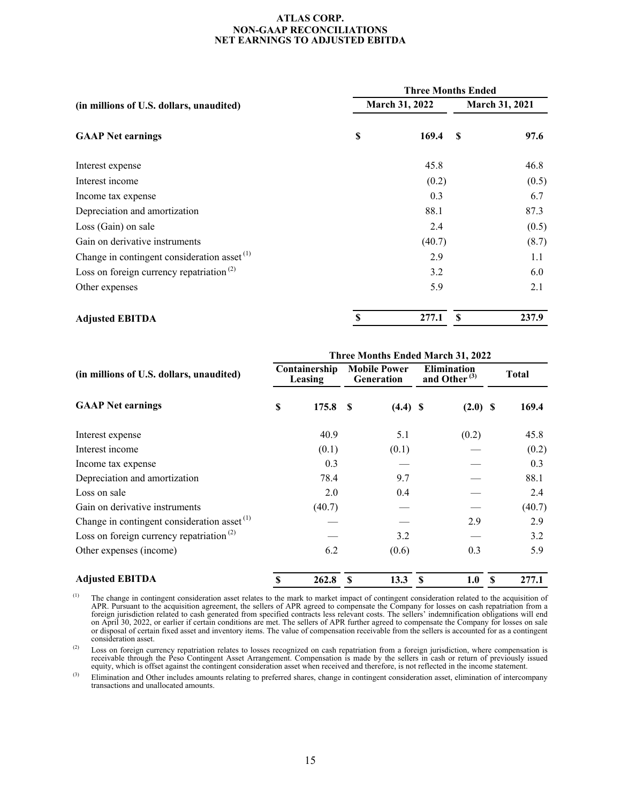#### **ATLAS CORP. NON-GAAP RECONCILIATIONS NET EARNINGS TO ADJUSTED EBITDA**

|                                                         | <b>Three Months Ended</b> |        |                       |       |  |  |  |
|---------------------------------------------------------|---------------------------|--------|-----------------------|-------|--|--|--|
| (in millions of U.S. dollars, unaudited)                | March 31, 2022            |        | <b>March 31, 2021</b> |       |  |  |  |
| <b>GAAP</b> Net earnings                                | S                         | 169.4  | -S                    | 97.6  |  |  |  |
| Interest expense                                        |                           | 45.8   |                       | 46.8  |  |  |  |
| Interest income                                         |                           | (0.2)  |                       | (0.5) |  |  |  |
| Income tax expense                                      |                           | 0.3    |                       | 6.7   |  |  |  |
| Depreciation and amortization                           |                           | 88.1   |                       | 87.3  |  |  |  |
| Loss (Gain) on sale                                     |                           | 2.4    |                       | (0.5) |  |  |  |
| Gain on derivative instruments                          |                           | (40.7) |                       | (8.7) |  |  |  |
| Change in contingent consideration asset <sup>(1)</sup> |                           | 2.9    |                       | 1.1   |  |  |  |
| Loss on foreign currency repatriation <sup>(2)</sup>    |                           | 3.2    |                       | 6.0   |  |  |  |
| Other expenses                                          |                           | 5.9    |                       | 2.1   |  |  |  |
| <b>Adjusted EBITDA</b>                                  | S                         | 277.1  | <b>S</b>              | 237.9 |  |  |  |

|                                                         | Three Months Ended March 31, 2022 |                          |    |                                          |              |                                          |   |              |  |  |  |
|---------------------------------------------------------|-----------------------------------|--------------------------|----|------------------------------------------|--------------|------------------------------------------|---|--------------|--|--|--|
| (in millions of U.S. dollars, unaudited)                |                                   | Containership<br>Leasing |    | <b>Mobile Power</b><br><b>Generation</b> |              | <b>Elimination</b><br>and Other $^{(3)}$ |   | <b>Total</b> |  |  |  |
| <b>GAAP</b> Net earnings                                | \$                                | 175.8                    | -8 | $(4.4)$ \$                               |              | $(2.0)$ \$                               |   | 169.4        |  |  |  |
| Interest expense                                        |                                   | 40.9                     |    | 5.1                                      |              | (0.2)                                    |   | 45.8         |  |  |  |
| Interest income                                         |                                   | (0.1)                    |    | (0.1)                                    |              |                                          |   | (0.2)        |  |  |  |
| Income tax expense                                      |                                   | 0.3                      |    |                                          |              |                                          |   | 0.3          |  |  |  |
| Depreciation and amortization                           |                                   | 78.4                     |    | 9.7                                      |              |                                          |   | 88.1         |  |  |  |
| Loss on sale                                            |                                   | 2.0                      |    | 0.4                                      |              |                                          |   | 2.4          |  |  |  |
| Gain on derivative instruments                          |                                   | (40.7)                   |    |                                          |              |                                          |   | (40.7)       |  |  |  |
| Change in contingent consideration asset <sup>(1)</sup> |                                   |                          |    |                                          |              | 2.9                                      |   | 2.9          |  |  |  |
| Loss on foreign currency repatriation <sup>(2)</sup>    |                                   |                          |    | 3.2                                      |              |                                          |   | 3.2          |  |  |  |
| Other expenses (income)                                 |                                   | 6.2                      |    | (0.6)                                    |              | 0.3                                      |   | 5.9          |  |  |  |
| <b>Adjusted EBITDA</b>                                  | S                                 | 262.8                    | S  | 13.3                                     | $\mathbf{s}$ | 1.0                                      | S | 277.1        |  |  |  |

 $<sup>(1)</sup>$  The change in contingent consideration asset relates to the mark to market impact of contingent consideration related to the acquisition of</sup> APR. Pursuant to the acquisition agreement, the sellers of APR agreed to compensate the Company for losses on cash repatriation from a foreign jurisdiction related to cash generated from specified contracts less relevant costs. The sellers' indemnification obligations will end on April 30, 2022, or earlier if certain conditions are met. The sellers of APR further agreed to compensate the Company for losses on sale or disposal of certain fixed asset and inventory items. The value of compensation receivable from the sellers is accounted for as a contingent consideration asset.

(2) Loss on foreign currency repatriation relates to losses recognized on cash repatriation from a foreign jurisdiction, where compensation is receivable through the Peso Contingent Asset Arrangement. Compensation is made by the sellers in cash or return of previously issued equity, which is offset against the contingent consideration asset when received and therefore, is not reflected in the income statement.

(3) Elimination and Other includes amounts relating to preferred shares, change in contingent consideration asset, elimination of intercompany transactions and unallocated amounts.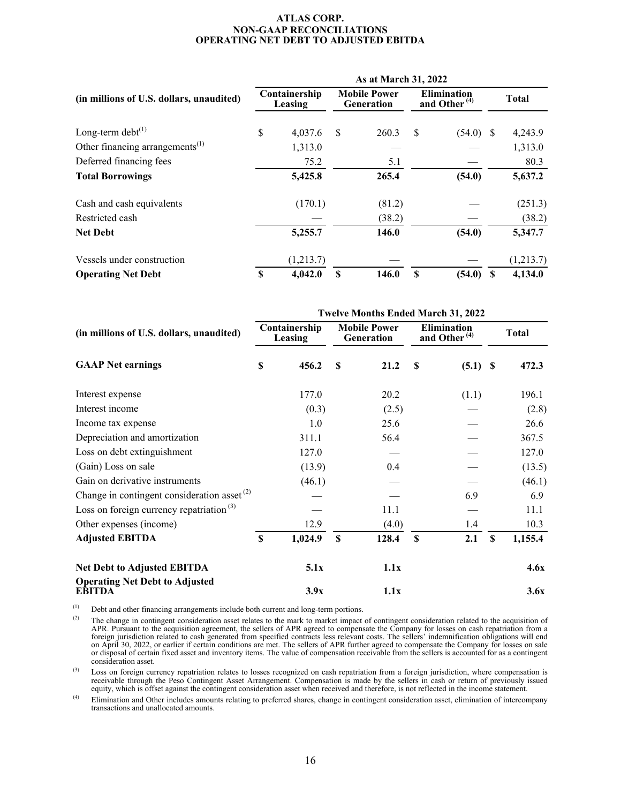#### **ATLAS CORP. NON-GAAP RECONCILIATIONS OPERATING NET DEBT TO ADJUSTED EBITDA**

|                                             | As at March 31, 2022     |           |                                          |        |                                                |             |   |              |  |  |  |
|---------------------------------------------|--------------------------|-----------|------------------------------------------|--------|------------------------------------------------|-------------|---|--------------|--|--|--|
| (in millions of U.S. dollars, unaudited)    | Containership<br>Leasing |           | <b>Mobile Power</b><br><b>Generation</b> |        | <b>Elimination</b><br>and Other <sup>(4)</sup> |             |   | <b>Total</b> |  |  |  |
| Long-term debt $^{(1)}$                     | \$                       | 4,037.6   | S                                        | 260.3  | <sup>\$</sup>                                  | $(54.0)$ \$ |   | 4,243.9      |  |  |  |
| Other financing arrangements <sup>(1)</sup> |                          | 1,313.0   |                                          |        |                                                |             |   | 1,313.0      |  |  |  |
| Deferred financing fees                     |                          | 75.2      |                                          | 5.1    |                                                |             |   | 80.3         |  |  |  |
| <b>Total Borrowings</b>                     |                          | 5,425.8   |                                          | 265.4  |                                                | (54.0)      |   | 5,637.2      |  |  |  |
| Cash and cash equivalents                   |                          | (170.1)   |                                          | (81.2) |                                                |             |   | (251.3)      |  |  |  |
| Restricted cash                             |                          |           |                                          | (38.2) |                                                |             |   | (38.2)       |  |  |  |
| <b>Net Debt</b>                             |                          | 5,255.7   |                                          | 146.0  |                                                | (54.0)      |   | 5,347.7      |  |  |  |
| Vessels under construction                  |                          | (1,213.7) |                                          |        |                                                |             |   | (1,213.7)    |  |  |  |
| <b>Operating Net Debt</b>                   | S                        | 4,042.0   | \$                                       | 146.0  | S                                              | (54.0)      | S | 4,134.0      |  |  |  |

| (in millions of U.S. dollars, unaudited)        |             | <b>Twelve Months Ended March 31, 2022</b> |             |                                   |               |                                                |    |              |  |  |  |
|-------------------------------------------------|-------------|-------------------------------------------|-------------|-----------------------------------|---------------|------------------------------------------------|----|--------------|--|--|--|
|                                                 |             | Containership<br>Leasing                  |             | <b>Mobile Power</b><br>Generation |               | <b>Elimination</b><br>and Other <sup>(4)</sup> |    | <b>Total</b> |  |  |  |
| <b>GAAP Net earnings</b>                        | \$          | 456.2                                     | <b>S</b>    | 21.2                              | <sup>\$</sup> | $(5.1)$ \$                                     |    | 472.3        |  |  |  |
| Interest expense                                |             | 177.0                                     |             | 20.2                              |               | (1.1)                                          |    | 196.1        |  |  |  |
| Interest income                                 |             | (0.3)                                     |             | (2.5)                             |               |                                                |    | (2.8)        |  |  |  |
| Income tax expense                              |             | 1.0                                       |             | 25.6                              |               |                                                |    | 26.6         |  |  |  |
| Depreciation and amortization                   |             | 311.1                                     |             | 56.4                              |               |                                                |    | 367.5        |  |  |  |
| Loss on debt extinguishment                     |             | 127.0                                     |             |                                   |               |                                                |    | 127.0        |  |  |  |
| (Gain) Loss on sale                             |             | (13.9)                                    |             | 0.4                               |               |                                                |    | (13.5)       |  |  |  |
| Gain on derivative instruments                  |             | (46.1)                                    |             |                                   |               |                                                |    | (46.1)       |  |  |  |
| Change in contingent consideration asset $(2)$  |             |                                           |             |                                   |               | 6.9                                            |    | 6.9          |  |  |  |
| Loss on foreign currency repatriation $(3)$     |             |                                           |             | 11.1                              |               |                                                |    | 11.1         |  |  |  |
| Other expenses (income)                         |             | 12.9                                      |             | (4.0)                             |               | 1.4                                            |    | 10.3         |  |  |  |
| <b>Adjusted EBITDA</b>                          | $\mathbf S$ | 1,024.9                                   | $\mathbf S$ | 128.4                             | $\mathbf S$   | 2.1                                            | \$ | 1,155.4      |  |  |  |
| <b>Net Debt to Adjusted EBITDA</b>              |             | 5.1x                                      |             | 1.1x                              |               |                                                |    | 4.6x         |  |  |  |
| <b>Operating Net Debt to Adjusted</b><br>EBITDA |             | 3.9x                                      |             | 1.1x                              |               |                                                |    | 3.6x         |  |  |  |

(1) Debt and other financing arrangements include both current and long-term portions.<br>
(2) The change in contingent consideration asset relates to the mark to market impact.

The change in contingent consideration asset relates to the mark to market impact of contingent consideration related to the acquisition of APR. Pursuant to the acquisition agreement, the sellers of APR agreed to compensate the Company for losses on cash repatriation from a foreign jurisdiction related to cash generated from specified contracts less relevant costs. The sellers' indemnification obligations will end on April 30, 2022, or earlier if certain conditions are met. The sellers of APR further agreed to compensate the Company for losses on sale or disposal of certain fixed asset and inventory items. The value of compensation receivable from the sellers is accounted for as a contingent consideration asset.

 $^{(3)}$  Loss on foreign currency repatriation relates to losses recognized on cash repatriation from a foreign jurisdiction, where compensation is receivable through the Peso Contingent Asset Arrangement. Compensation is made by the sellers in cash or return of previously issued equity, which is offset against the contingent consideration asset when received and therefore, is not reflected in the income statement.

(4) Elimination and Other includes amounts relating to preferred shares, change in contingent consideration asset, elimination of intercompany transactions and unallocated amounts.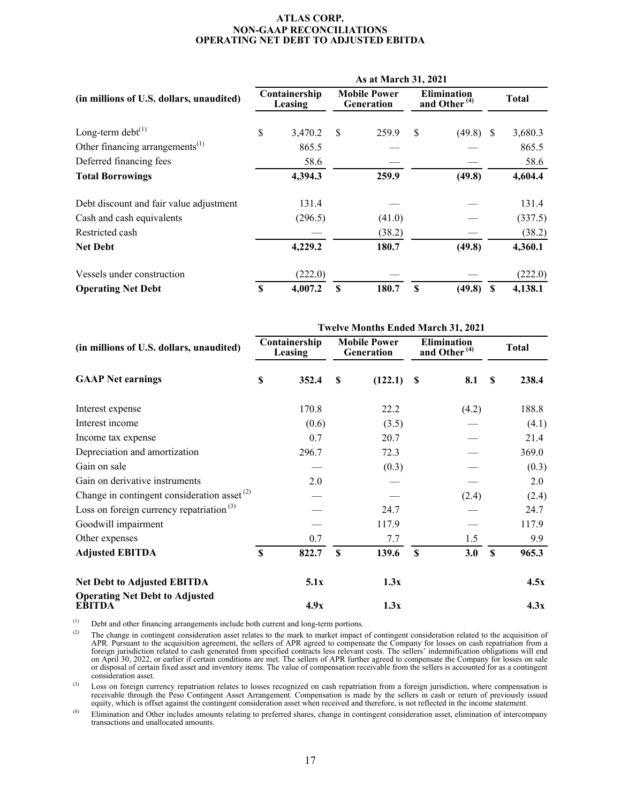#### **ATLAS CORP. NON-GAAP RECONCILIATIONS OPERATING NET DEBT TO ADJUSTED EBITDA**

|                                             | As at March 31, 2021     |         |                                          |        |                                                |             |   |              |  |  |
|---------------------------------------------|--------------------------|---------|------------------------------------------|--------|------------------------------------------------|-------------|---|--------------|--|--|
| (in millions of U.S. dollars, unaudited)    | Containership<br>Leasing |         | <b>Mobile Power</b><br><b>Generation</b> |        | <b>Elimination</b><br>and Other <sup>(4)</sup> |             |   | <b>Total</b> |  |  |
| Long-term debt $^{(1)}$                     | \$                       | 3,470.2 | <sup>\$</sup>                            | 259.9  | <sup>\$</sup>                                  | $(49.8)$ \$ |   | 3,680.3      |  |  |
| Other financing arrangements <sup>(1)</sup> |                          | 865.5   |                                          |        |                                                |             |   | 865.5        |  |  |
| Deferred financing fees                     |                          | 58.6    |                                          |        |                                                |             |   | 58.6         |  |  |
| <b>Total Borrowings</b>                     |                          | 4,394.3 |                                          | 259.9  |                                                | (49.8)      |   | 4,604.4      |  |  |
| Debt discount and fair value adjustment     |                          | 131.4   |                                          |        |                                                |             |   | 131.4        |  |  |
| Cash and cash equivalents                   |                          | (296.5) |                                          | (41.0) |                                                |             |   | (337.5)      |  |  |
| Restricted cash                             |                          |         |                                          | (38.2) |                                                |             |   | (38.2)       |  |  |
| <b>Net Debt</b>                             |                          | 4,229.2 |                                          | 180.7  |                                                | (49.8)      |   | 4,360.1      |  |  |
| Vessels under construction                  |                          | (222.0) |                                          |        |                                                |             |   | (222.0)      |  |  |
| <b>Operating Net Debt</b>                   | \$                       | 4,007.2 | S                                        | 180.7  | $\mathbf S$                                    | (49.8)      | S | 4,138.1      |  |  |

| (in millions of U.S. dollars, unaudited)<br><b>GAAP Net earnings</b> | <b>Twelve Months Ended March 31, 2021</b> |       |                                   |         |                                                |       |    |              |  |  |  |
|----------------------------------------------------------------------|-------------------------------------------|-------|-----------------------------------|---------|------------------------------------------------|-------|----|--------------|--|--|--|
|                                                                      | Containership<br>Leasing                  |       | <b>Mobile Power</b><br>Generation |         | <b>Elimination</b><br>and Other <sup>(4)</sup> |       |    | <b>Total</b> |  |  |  |
|                                                                      | \$                                        | 352.4 | S                                 | (122.1) | <b>S</b>                                       | 8.1   | S  | 238.4        |  |  |  |
| Interest expense                                                     |                                           | 170.8 |                                   | 22.2    |                                                | (4.2) |    | 188.8        |  |  |  |
| Interest income                                                      |                                           | (0.6) |                                   | (3.5)   |                                                |       |    | (4.1)        |  |  |  |
| Income tax expense                                                   |                                           | 0.7   |                                   | 20.7    |                                                |       |    | 21.4         |  |  |  |
| Depreciation and amortization                                        |                                           | 296.7 |                                   | 72.3    |                                                |       |    | 369.0        |  |  |  |
| Gain on sale                                                         |                                           |       |                                   | (0.3)   |                                                |       |    | (0.3)        |  |  |  |
| Gain on derivative instruments                                       |                                           | 2.0   |                                   |         |                                                |       |    | 2.0          |  |  |  |
| Change in contingent consideration asset $(2)$                       |                                           |       |                                   |         |                                                | (2.4) |    | (2.4)        |  |  |  |
| Loss on foreign currency repatriation $(3)$                          |                                           |       |                                   | 24.7    |                                                |       |    | 24.7         |  |  |  |
| Goodwill impairment                                                  |                                           |       |                                   | 117.9   |                                                |       |    | 117.9        |  |  |  |
| Other expenses                                                       |                                           | 0.7   |                                   | 7.7     |                                                | 1.5   |    | 9.9          |  |  |  |
| <b>Adjusted EBITDA</b>                                               | $\mathbf S$                               | 822.7 | $\mathbf S$                       | 139.6   | $\mathbf S$                                    | 3.0   | \$ | 965.3        |  |  |  |
| Net Debt to Adjusted EBITDA                                          |                                           | 5.1x  |                                   | 1.3x    |                                                |       |    | 4.5x         |  |  |  |
| <b>Operating Net Debt to Adjusted</b><br><b>EBITDA</b>               |                                           | 4.9x  |                                   | 1.3x    |                                                |       |    | 4.3x         |  |  |  |

(1) Debt and other financing arrangements include both current and long-term portions.<br>
<sup>(2)</sup> The change in contingent consideration asset relates to the mark to market impact.

(2) The change in contingent consideration asset relates to the mark to market impact of contingent consideration related to the acquisition of APR. Pursuant to the acquisition agreement, the sellers of APR agreed to compensate the Company for losses on cash repatriation from a foreign jurisdiction related to cash generated from specified contracts less relevant costs. The sellers' indemnification obligations will end on April 30, 2022, or earlier if certain conditions are met. The sellers of APR further agreed to compensate the Company for losses on sale or disposal of certain fixed asset and inventory items. The value of compensation receivable from the sellers is accounted for as a contingent consideration asset.

 $^{(3)}$  Loss on foreign currency repatriation relates to losses recognized on cash repatriation from a foreign jurisdiction, where compensation is receivable through the Peso Contingent Asset Arrangement. Compensation is made by the sellers in cash or return of previously issued equity, which is offset against the contingent consideration asset when received and therefore, is not reflected in the income statement.

(4) Elimination and Other includes amounts relating to preferred shares, change in contingent consideration asset, elimination of intercompany transactions and unallocated amounts.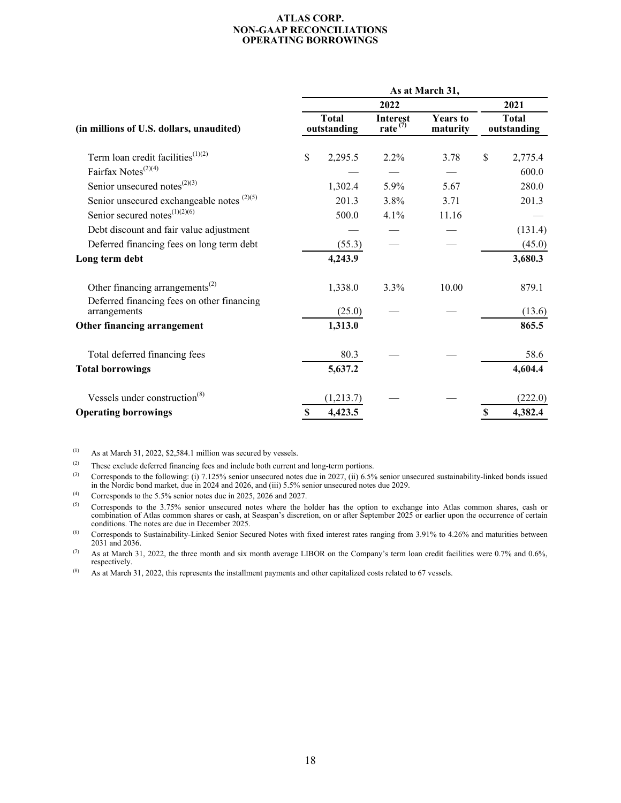#### **ATLAS CORP. NON-GAAP RECONCILIATIONS OPERATING BORROWINGS**

|                                                                                           | As at March 31, |                             |                               |                             |    |                             |  |  |  |  |  |
|-------------------------------------------------------------------------------------------|-----------------|-----------------------------|-------------------------------|-----------------------------|----|-----------------------------|--|--|--|--|--|
| (in millions of U.S. dollars, unaudited)                                                  |                 | 2021                        |                               |                             |    |                             |  |  |  |  |  |
|                                                                                           |                 | <b>Total</b><br>outstanding | <b>Interest</b><br>rate $(7)$ | <b>Years</b> to<br>maturity |    | <b>Total</b><br>outstanding |  |  |  |  |  |
| Term loan credit facilities $(1)(2)$                                                      | \$              | 2,295.5                     | 2.2%                          | 3.78                        | \$ | 2,775.4                     |  |  |  |  |  |
| Fairfax Notes <sup><math>(2)(4)</math></sup>                                              |                 |                             |                               |                             |    | 600.0                       |  |  |  |  |  |
| Senior unsecured notes $^{(2)(3)}$                                                        |                 | 1,302.4                     | 5.9%                          | 5.67                        |    | 280.0                       |  |  |  |  |  |
| Senior unsecured exchangeable notes $(2)(5)$                                              |                 | 201.3                       | 3.8%                          | 3.71                        |    | 201.3                       |  |  |  |  |  |
| Senior secured notes $(1)(2)(6)$                                                          |                 | 500.0                       | $4.1\%$                       | 11.16                       |    |                             |  |  |  |  |  |
| Debt discount and fair value adjustment                                                   |                 |                             |                               |                             |    | (131.4)                     |  |  |  |  |  |
| Deferred financing fees on long term debt                                                 |                 | (55.3)                      |                               |                             |    | (45.0)                      |  |  |  |  |  |
| Long term debt                                                                            |                 | 4,243.9                     |                               |                             |    | 3,680.3                     |  |  |  |  |  |
| Other financing arrangements <sup>(2)</sup><br>Deferred financing fees on other financing |                 | 1,338.0                     | 3.3%                          | 10.00                       |    | 879.1                       |  |  |  |  |  |
| arrangements                                                                              |                 | (25.0)                      |                               |                             |    | (13.6)                      |  |  |  |  |  |
| Other financing arrangement                                                               |                 | 1,313.0                     |                               |                             |    | 865.5                       |  |  |  |  |  |
| Total deferred financing fees                                                             |                 | 80.3                        |                               |                             |    | 58.6                        |  |  |  |  |  |
| <b>Total borrowings</b>                                                                   |                 | 5,637.2                     |                               |                             |    | 4,604.4                     |  |  |  |  |  |
| Vessels under construction $(8)$                                                          |                 | (1,213.7)                   |                               |                             |    | (222.0)                     |  |  |  |  |  |
| <b>Operating borrowings</b>                                                               | $\mathbf S$     | 4,423.5                     |                               |                             | \$ | 4,382.4                     |  |  |  |  |  |

 $(1)$  As at March 31, 2022, \$2,584.1 million was secured by vessels.

(2) These exclude deferred financing fees and include both current and long-term portions.<br>(3) Corresponds to the following: (i) 7.125% senior unsecured notes due in 2027 (ii) 6.5%

(3) Corresponds to the following: (i)  $7.125\%$  senior unsecured notes due in 2027, (ii) 6.5% senior unsecured sustainability-linked bonds issued in the Nordic bond market, due in 2024 and 2026, and (iii) 5.5% senior unsecured notes due 2029.

(4) Corresponds to the  $5.5\%$  senior notes due in 2025, 2026 and 2027.

(5) Corresponds to the  $3.75\%$  senior unsecured notes where the holder has the option to exchange into Atlas common shares, cash or combination of Atlas common shares or cash, at Seaspan's discretion, on or after September 2025 or earlier upon the occurrence of certain conditions. The notes are due in December 2025.

(6) Corresponds to Sustainability-Linked Senior Secured Notes with fixed interest rates ranging from 3.91% to 4.26% and maturities between 2031 and 2036.

(7) As at March 31, 2022, the three month and six month average LIBOR on the Company's term loan credit facilities were 0.7% and 0.6%, respectively.

(8) As at March 31, 2022, this represents the installment payments and other capitalized costs related to 67 vessels.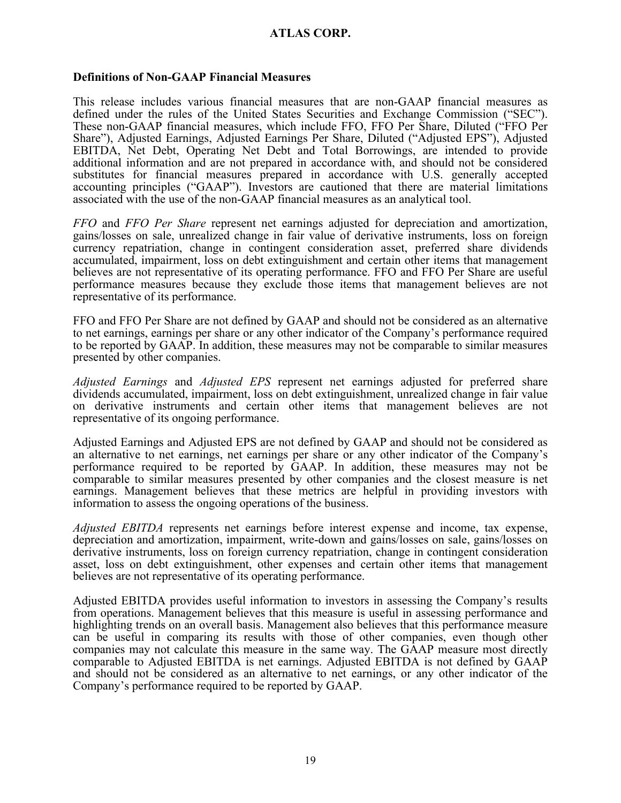### **Definitions of Non-GAAP Financial Measures**

This release includes various financial measures that are non-GAAP financial measures as defined under the rules of the United States Securities and Exchange Commission ("SEC"). These non-GAAP financial measures, which include FFO, FFO Per Share, Diluted ("FFO Per Share"), Adjusted Earnings, Adjusted Earnings Per Share, Diluted ("Adjusted EPS"), Adjusted EBITDA, Net Debt, Operating Net Debt and Total Borrowings, are intended to provide additional information and are not prepared in accordance with, and should not be considered substitutes for financial measures prepared in accordance with U.S. generally accepted accounting principles ("GAAP"). Investors are cautioned that there are material limitations associated with the use of the non-GAAP financial measures as an analytical tool.

*FFO* and *FFO Per Share* represent net earnings adjusted for depreciation and amortization, gains/losses on sale, unrealized change in fair value of derivative instruments, loss on foreign currency repatriation, change in contingent consideration asset, preferred share dividends accumulated, impairment, loss on debt extinguishment and certain other items that management believes are not representative of its operating performance. FFO and FFO Per Share are useful performance measures because they exclude those items that management believes are not representative of its performance.

FFO and FFO Per Share are not defined by GAAP and should not be considered as an alternative to net earnings, earnings per share or any other indicator of the Company's performance required to be reported by GAAP. In addition, these measures may not be comparable to similar measures presented by other companies.

*Adjusted Earnings* and *Adjusted EPS* represent net earnings adjusted for preferred share dividends accumulated, impairment, loss on debt extinguishment, unrealized change in fair value on derivative instruments and certain other items that management believes are not representative of its ongoing performance.

Adjusted Earnings and Adjusted EPS are not defined by GAAP and should not be considered as an alternative to net earnings, net earnings per share or any other indicator of the Company's performance required to be reported by GAAP. In addition, these measures may not be comparable to similar measures presented by other companies and the closest measure is net earnings. Management believes that these metrics are helpful in providing investors with information to assess the ongoing operations of the business.

*Adjusted EBITDA* represents net earnings before interest expense and income, tax expense, depreciation and amortization, impairment, write-down and gains/losses on sale, gains/losses on derivative instruments, loss on foreign currency repatriation, change in contingent consideration asset, loss on debt extinguishment, other expenses and certain other items that management believes are not representative of its operating performance.

Adjusted EBITDA provides useful information to investors in assessing the Company's results from operations. Management believes that this measure is useful in assessing performance and highlighting trends on an overall basis. Management also believes that this performance measure can be useful in comparing its results with those of other companies, even though other companies may not calculate this measure in the same way. The GAAP measure most directly comparable to Adjusted EBITDA is net earnings. Adjusted EBITDA is not defined by GAAP and should not be considered as an alternative to net earnings, or any other indicator of the Company's performance required to be reported by GAAP.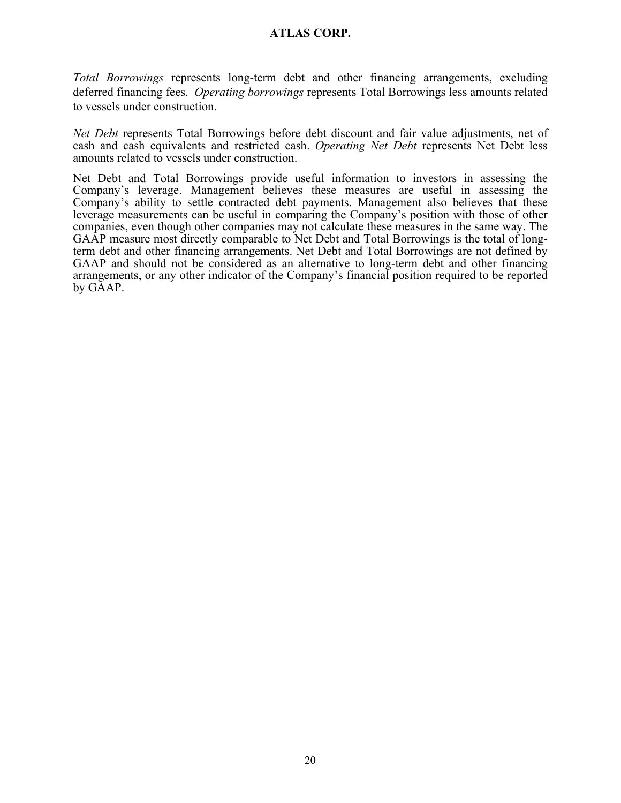*Total Borrowings* represents long-term debt and other financing arrangements, excluding deferred financing fees. *Operating borrowings* represents Total Borrowings less amounts related to vessels under construction.

*Net Debt* represents Total Borrowings before debt discount and fair value adjustments, net of cash and cash equivalents and restricted cash. *Operating Net Debt* represents Net Debt less amounts related to vessels under construction.

Net Debt and Total Borrowings provide useful information to investors in assessing the Company's leverage. Management believes these measures are useful in assessing the Company's ability to settle contracted debt payments. Management also believes that these leverage measurements can be useful in comparing the Company's position with those of other companies, even though other companies may not calculate these measures in the same way. The GAAP measure most directly comparable to Net Debt and Total Borrowings is the total of longterm debt and other financing arrangements. Net Debt and Total Borrowings are not defined by GAAP and should not be considered as an alternative to long-term debt and other financing arrangements, or any other indicator of the Company's financial position required to be reported by GAAP.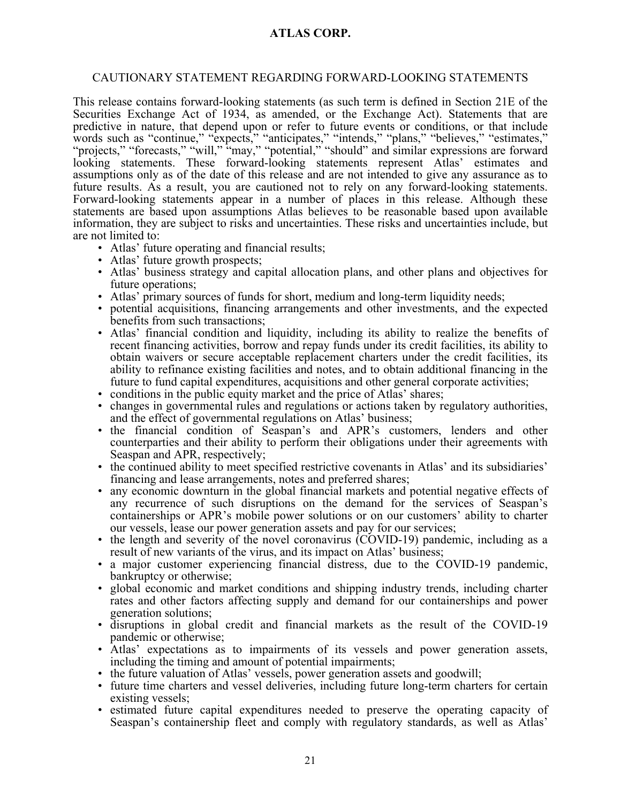### CAUTIONARY STATEMENT REGARDING FORWARD-LOOKING STATEMENTS

This release contains forward-looking statements (as such term is defined in Section 21E of the Securities Exchange Act of 1934, as amended, or the Exchange Act). Statements that are predictive in nature, that depend upon or refer to future events or conditions, or that include words such as "continue," "expects," "anticipates," "intends," "plans," "believes," "estimates," "projects," "forecasts," "will," "may," "potential," "should" and similar expressions are forward looking statements. These forward-looking statements represent Atlas' estimates and assumptions only as of the date of this release and are not intended to give any assurance as to future results. As a result, you are cautioned not to rely on any forward-looking statements. Forward-looking statements appear in a number of places in this release. Although these statements are based upon assumptions Atlas believes to be reasonable based upon available information, they are subject to risks and uncertainties. These risks and uncertainties include, but are not limited to:

- Atlas' future operating and financial results;
- Atlas' future growth prospects;
- Atlas' business strategy and capital allocation plans, and other plans and objectives for future operations;
- Atlas' primary sources of funds for short, medium and long-term liquidity needs;
- potential acquisitions, financing arrangements and other investments, and the expected benefits from such transactions;
- Atlas' financial condition and liquidity, including its ability to realize the benefits of recent financing activities, borrow and repay funds under its credit facilities, its ability to obtain waivers or secure acceptable replacement charters under the credit facilities, its ability to refinance existing facilities and notes, and to obtain additional financing in the future to fund capital expenditures, acquisitions and other general corporate activities;
- conditions in the public equity market and the price of Atlas' shares;
- changes in governmental rules and regulations or actions taken by regulatory authorities, and the effect of governmental regulations on Atlas' business;
- the financial condition of Seaspan's and APR's customers, lenders and other counterparties and their ability to perform their obligations under their agreements with Seaspan and APR, respectively;
- the continued ability to meet specified restrictive covenants in Atlas' and its subsidiaries' financing and lease arrangements, notes and preferred shares;
- any economic downturn in the global financial markets and potential negative effects of any recurrence of such disruptions on the demand for the services of Seaspan's containerships or APR's mobile power solutions or on our customers' ability to charter our vessels, lease our power generation assets and pay for our services;
- the length and severity of the novel coronavirus (COVID-19) pandemic, including as a result of new variants of the virus, and its impact on Atlas' business;
- a major customer experiencing financial distress, due to the COVID-19 pandemic, bankruptcy or otherwise;
- global economic and market conditions and shipping industry trends, including charter rates and other factors affecting supply and demand for our containerships and power generation solutions;
- disruptions in global credit and financial markets as the result of the COVID-19 pandemic or otherwise;
- Atlas' expectations as to impairments of its vessels and power generation assets, including the timing and amount of potential impairments;
- the future valuation of Atlas' vessels, power generation assets and goodwill;
- future time charters and vessel deliveries, including future long-term charters for certain existing vessels;
- estimated future capital expenditures needed to preserve the operating capacity of Seaspan's containership fleet and comply with regulatory standards, as well as Atlas'